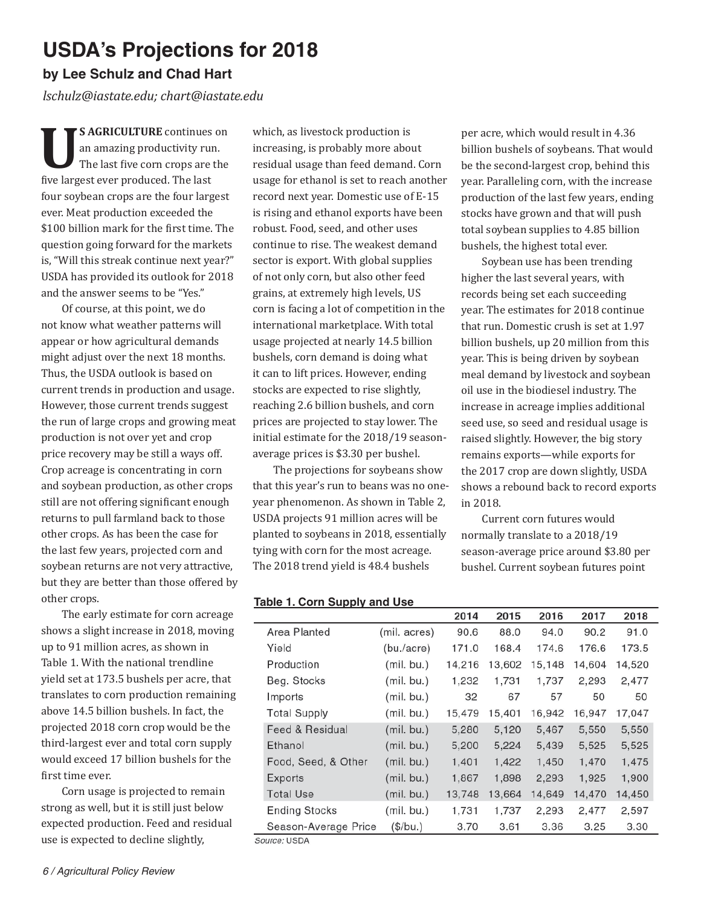# **USDA's Projections for 2018**

## **by Lee Schulz and Chad Hart**

*lschulz@iastate.edu; chart@iastate.edu*

**US AGRICULTURE** continues on<br>
an amazing productivity run.<br>
The last five corn crops are the an amazing productivity run. five largest ever produced. The last four soybean crops are the four largest ever. Meat production exceeded the \$100 billion mark for the first time. The question going forward for the markets is, "Will this streak continue next year?" USDA has provided its outlook for 2018 and the answer seems to be "Yes."

Of course, at this point, we do not know what weather patterns will appear or how agricultural demands might adjust over the next 18 months. Thus, the USDA outlook is based on current trends in production and usage. However, those current trends suggest the run of large crops and growing meat production is not over yet and crop price recovery may be still a ways off. Crop acreage is concentrating in corn and soybean production, as other crops still are not offering significant enough returns to pull farmland back to those other crops. As has been the case for the last few years, projected corn and soybean returns are not very attractive, but they are better than those offered by other crops.

The early estimate for corn acreage shows a slight increase in 2018, moving up to 91 million acres, as shown in Table 1. With the national trendline yield set at 173.5 bushels per acre, that translates to corn production remaining above 14.5 billion bushels. In fact, the projected 2018 corn crop would be the third-largest ever and total corn supply would exceed 17 billion bushels for the first time ever.

Corn usage is projected to remain strong as well, but it is still just below expected production. Feed and residual use is expected to decline slightly,

which, as livestock production is increasing, is probably more about residual usage than feed demand. Corn usage for ethanol is set to reach another record next year. Domestic use of E-15 is rising and ethanol exports have been robust. Food, seed, and other uses continue to rise. The weakest demand sector is export. With global supplies of not only corn, but also other feed grains, at extremely high levels, US corn is facing a lot of competition in the international marketplace. With total usage projected at nearly 14.5 billion bushels, corn demand is doing what it can to lift prices. However, ending stocks are expected to rise slightly, reaching 2.6 billion bushels, and corn prices are projected to stay lower. The initial estimate for the 2018/19 seasonaverage prices is \$3.30 per bushel.

The projections for soybeans show that this year's run to beans was no oneyear phenomenon. As shown in Table 2, USDA projects 91 million acres will be planted to soybeans in 2018, essentially tying with corn for the most acreage. The 2018 trend yield is 48.4 bushels

per acre, which would result in 4.36 billion bushels of soybeans. That would be the second-largest crop, behind this year. Paralleling corn, with the increase production of the last few years, ending stocks have grown and that will push total soybean supplies to 4.85 billion bushels, the highest total ever.

Soybean use has been trending higher the last several years, with records being set each succeeding year. The estimates for 2018 continue that run. Domestic crush is set at 1.97 billion bushels, up 20 million from this year. This is being driven by soybean meal demand by livestock and soybean oil use in the biodiesel industry. The increase in acreage implies additional seed use, so seed and residual usage is raised slightly. However, the big story remains exports—while exports for the 2017 crop are down slightly, USDA shows a rebound back to record exports in 2018.

Current corn futures would normally translate to a 2018/19 season-average price around \$3.80 per bushel. Current soybean futures point

 $- - -$ 

-- --

### **Table 1. Corn Supply and Use**

|              |                      |              | 2014   | 2015   | 2016   | 2017   | 2018   |  |
|--------------|----------------------|--------------|--------|--------|--------|--------|--------|--|
|              | Area Planted         | (mil. acres) | 90.6   | 88.0   | 94.0   | 90.2   | 91.0   |  |
|              | Yield                | (bu./acre)   | 171.0  | 168.4  | 174.6  | 176.6  | 173.5  |  |
|              | Production           | (mil. bu.)   | 14,216 | 13,602 | 15,148 | 14,604 | 14,520 |  |
|              | Beg. Stocks          | (mil. bu.)   | 1.232  | 1,731  | 1,737  | 2,293  | 2,477  |  |
|              | Imports              | (mil. bu.)   | 32     | 67     | 57     | 50     | 50     |  |
|              | <b>Total Supply</b>  | (mil. bu.)   | 15,479 | 15,401 | 16,942 | 16,947 | 17,047 |  |
|              | Feed & Residual      | (mil. bu.)   | 5,280  | 5,120  | 5,467  | 5,550  | 5,550  |  |
|              | Ethanol              | (mil. bu.)   | 5,200  | 5,224  | 5,439  | 5,525  | 5,525  |  |
|              | Food, Seed, & Other  | (mil. bu.)   | 1,401  | 1,422  | 1,450  | 1,470  | 1,475  |  |
|              | Exports              | (mil. bu.)   | 1,867  | 1,898  | 2,293  | 1,925  | 1,900  |  |
|              | <b>Total Use</b>     | (mil. bu.)   | 13,748 | 13,664 | 14,649 | 14,470 | 14,450 |  |
|              | <b>Ending Stocks</b> | (mil. bu.)   | 1,731  | 1,737  | 2,293  | 2,477  | 2,597  |  |
|              | Season-Average Price | (\$/bu.)     | 3.70   | 3.61   | 3.36   | 3.25   | 3.30   |  |
| Source: USDA |                      |              |        |        |        |        |        |  |

----

-- - -